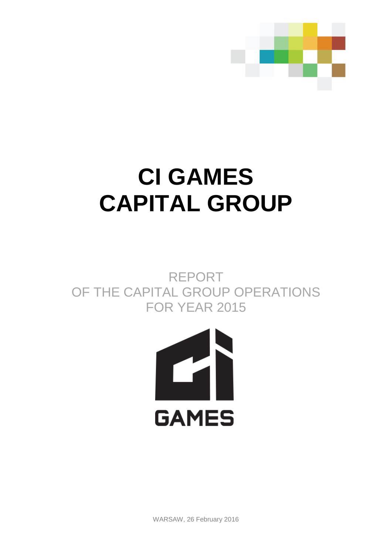

# **CI GAMES CAPITAL GROUP**

REPORT OF THE CAPITAL GROUP OPERATIONS FOR YEAR 2015



WARSAW, 26 February 2016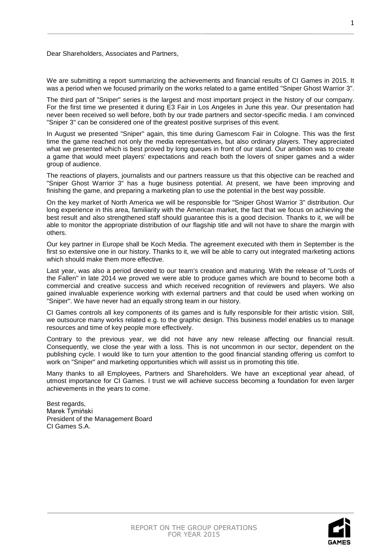Dear Shareholders, Associates and Partners,

We are submitting a report summarizing the achievements and financial results of CI Games in 2015. It was a period when we focused primarily on the works related to a game entitled "Sniper Ghost Warrior 3".

The third part of "Sniper" series is the largest and most important project in the history of our company. For the first time we presented it during E3 Fair in Los Angeles in June this year. Our presentation had never been received so well before, both by our trade partners and sector-specific media. I am convinced "Sniper 3" can be considered one of the greatest positive surprises of this event.

In August we presented "Sniper" again, this time during Gamescom Fair in Cologne. This was the first time the game reached not only the media representatives, but also ordinary players. They appreciated what we presented which is best proved by long queues in front of our stand. Our ambition was to create a game that would meet players' expectations and reach both the lovers of sniper games and a wider group of audience.

The reactions of players, journalists and our partners reassure us that this objective can be reached and "Sniper Ghost Warrior 3" has a huge business potential. At present, we have been improving and finishing the game, and preparing a marketing plan to use the potential in the best way possible.

On the key market of North America we will be responsible for "Sniper Ghost Warrior 3" distribution. Our long experience in this area, familiarity with the American market, the fact that we focus on achieving the best result and also strengthened staff should guarantee this is a good decision. Thanks to it, we will be able to monitor the appropriate distribution of our flagship title and will not have to share the margin with others.

Our key partner in Europe shall be Koch Media. The agreement executed with them in September is the first so extensive one in our history. Thanks to it, we will be able to carry out integrated marketing actions which should make them more effective.

Last year, was also a period devoted to our team's creation and maturing. With the release of "Lords of the Fallen" in late 2014 we proved we were able to produce games which are bound to become both a commercial and creative success and which received recognition of reviewers and players. We also gained invaluable experience working with external partners and that could be used when working on "Sniper". We have never had an equally strong team in our history.

CI Games controls all key components of its games and is fully responsible for their artistic vision. Still, we outsource many works related e.g. to the graphic design. This business model enables us to manage resources and time of key people more effectively.

Contrary to the previous year, we did not have any new release affecting our financial result. Consequently, we close the year with a loss. This is not uncommon in our sector, dependent on the publishing cycle. I would like to turn your attention to the good financial standing offering us comfort to work on "Sniper" and marketing opportunities which will assist us in promoting this title.

Many thanks to all Employees, Partners and Shareholders. We have an exceptional year ahead, of utmost importance for CI Games. I trust we will achieve success becoming a foundation for even larger achievements in the years to come.

Best regards, Marek Tymiński President of the Management Board CI Games S.A.

1

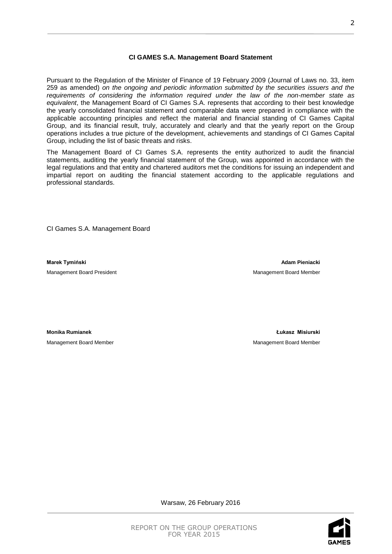# **CI GAMES S.A. Management Board Statement**

Pursuant to the Regulation of the Minister of Finance of 19 February 2009 (Journal of Laws no. 33, item 259 as amended) *on the ongoing and periodic information submitted by the securities issuers and the requirements of considering the information required under the law of the non-member state as equivalent*, the Management Board of CI Games S.A. represents that according to their best knowledge the yearly consolidated financial statement and comparable data were prepared in compliance with the applicable accounting principles and reflect the material and financial standing of CI Games Capital Group, and its financial result, truly, accurately and clearly and that the yearly report on the Group operations includes a true picture of the development, achievements and standings of CI Games Capital Group, including the list of basic threats and risks.

The Management Board of CI Games S.A. represents the entity authorized to audit the financial statements, auditing the yearly financial statement of the Group, was appointed in accordance with the legal regulations and that entity and chartered auditors met the conditions for issuing an independent and impartial report on auditing the financial statement according to the applicable regulations and professional standards.

CI Games S.A. Management Board

Management Board President Management Board Member

**Marek Tymiński** Adam Pieniacki **Marek Tymiński** Adam Pieniacki **Adam Pieniacki Adam Pieniacki** 

**Monika Rumianek Łukasz Misiurski**  Management Board Member **Management Board Member** Management Board Member

REPORT ON THE GROUP OPERATIONS FOR YEAR 2015

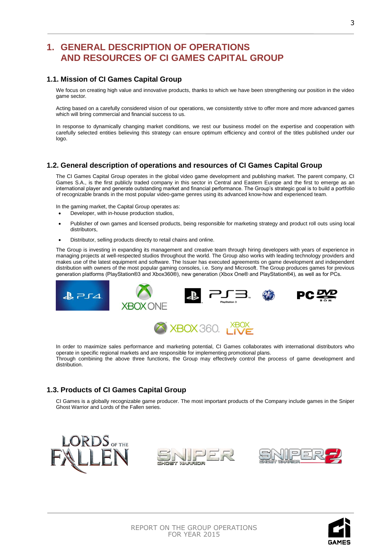# **1. GENERAL DESCRIPTION OF OPERATIONS AND RESOURCES OF CI GAMES CAPITAL GROUP**

# **1.1. Mission of CI Games Capital Group**

We focus on creating high value and innovative products, thanks to which we have been strengthening our position in the video game sector.

Acting based on a carefully considered vision of our operations, we consistently strive to offer more and more advanced games which will bring commercial and financial success to us.

In response to dynamically changing market conditions, we rest our business model on the expertise and cooperation with carefully selected [entities](javascript:void(0)) believing this strategy can ensure optimum efficiency and control of the titles published under our logo.

# **1.2. General description of operations and resources of CI Games Capital Group**

The CI Games Capital Group operates in the global video game development and publishing market. The parent company, CI Games S.A., is the first publicly traded company in this sector in Central and Eastern Europe and the first to emerge as an international player and generate outstanding market and financial performance. The Group's strategic goal is to build a portfolio of recognizable brands in the most popular video-game genres using its advanced know-how and experienced team.

In the gaming market, the Capital Group operates as:

- Developer, with in-house production studios,
- Publisher of own games and licensed products, being responsible for marketing strategy and product roll outs using local distributors,
- Distributor, selling products directly to retail chains and online.

The Group is investing in expanding its management and creative team through hiring developers with years of experience in managing projects at well-respected studios throughout the world. The Group also works with leading technology providers and makes use of the latest equipment and software. The Issuer has executed agreements on game development and independent distribution with owners of the most popular gaming consoles, i.e. Sony and Microsoft. The Group produces games for previous generation platforms (PlayStation®3 and Xbox360®), new generation (Xbox One® and PlayStation®4), as well as for PCs.



In order to maximize sales performance and marketing potential, CI Games collaborates with international distributors who operate in specific regional markets and are responsible for implementing promotional plans. Through combining the above three functions, the Group may effectively control the process of game development and distribution.

# **1.3. Products of CI Games Capital Group**

CI Games is a globally recognizable game producer. The most important products of the Company include games in the Sniper Ghost Warrior and Lords of the Fallen series.





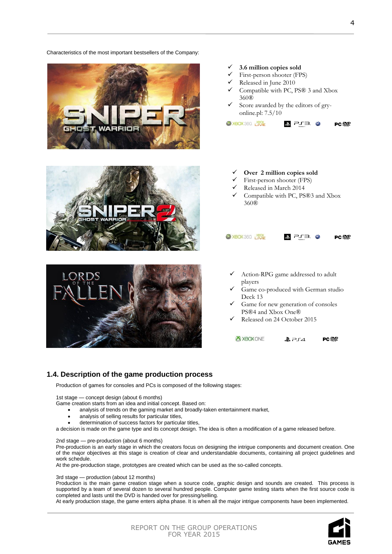

# Released on 24 October 2015

X XBOX ONE **PC 222**  $B$   $PIA$ 

# **1.4. Description of the game production process**

Characteristics of the most important bestsellers of the Company:

Production of games for consoles and PCs is composed of the following stages:

1st stage — concept design (about 6 months)

Game creation starts from an idea and initial concept. Based on:

- analysis of trends on the gaming market and broadly-taken entertainment market,
- analysis of selling results for particular titles,
- determination of success factors for particular titles,

a decision is made on the game type and its concept design. The idea is often a modification of a game released before.

2nd stage — pre-production (about 6 months)

[Pre-production](http://pl.wikipedia.org/wiki/Preprodukcja) is an early stage in which the creators focus on designing the intrigue components and document creation. One of the major objectives at this stage is creation of clear and understandable documents, containing all project guidelines and work schedule.

At the pre-production stage, [prototypes](http://pl.wikipedia.org/wiki/Prototyp) are created which can be used as the so-called concepts.

3rd stage — production (about 12 months)

Production is the main game creation stage when a [source code,](http://pl.wikipedia.org/wiki/Kod_%C5%BAr%C3%B3d%C5%82owy) graphic design and sounds are created. This process is supported by a team of several dozen to several hundred people[. Computer game testing](http://pl.wikipedia.org/wiki/Testowanie_gier_komputerowych) starts when the first source code is completed and lasts until the DVD is handed over for pressing/selling.

At early production stage, the game enters alpha phase. It is when all the major intrigue components have been implemented.



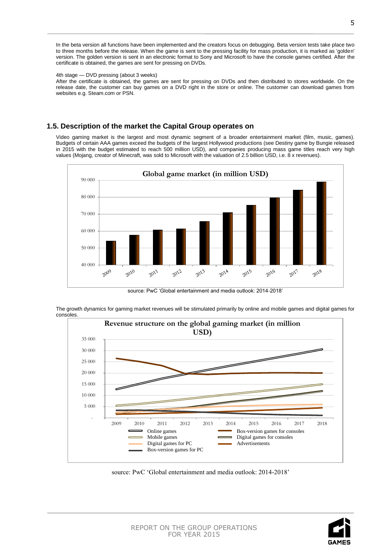In the beta version all functions have been implemented and the creators focus on debugging. Beta version tests take place two to three months before the release. When the game is sent to the pressing facility for mass production, it is marked as 'golden' version. The golden version is sent in an electronic format to Sony and Microsoft to have the console games certified. After the certificate is obtained, the games are sent for pressing on DVDs.

### 4th stage — DVD pressing (about 3 weeks)

After the certificate is obtained, the games are sent for pressing on DVDs and then distributed to stores worldwide. On the release date, the customer can buy games on a DVD right in the store or online. The customer can download games from websites e.g. Steam.com or PSN.

# **1.5. Description of the market the Capital Group operates on**

Video gaming market is the largest and most dynamic segment of a broader entertainment market (film, music, games). Budgets of certain AAA games exceed the budgets of the largest Hollywood productions (see Destiny game by Bungie released in 2015 with the budget estimated to reach 500 million USD), and companies producing mass game titles reach very high values (Mojang, creator of Minecraft, was sold to Microsoft with the valuation of 2.5 billion USD, i.e. 8 x revenues).



source: PwC 'Global entertainment and media outlook: 2014-2018'

The growth dynamics for gaming market revenues will be stimulated primarily by online and mobile games and digital games for consoles.



source: PwC 'Global entertainment and media outlook: 2014-2018'

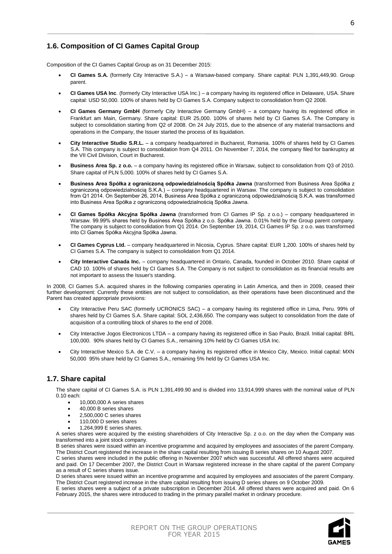# **1.6. Composition of CI Games Capital Group**

Composition of the CI Games Capital Group as on 31 December 2015:

- **CI Games S.A.** (formerly City Interactive S.A.) a Warsaw-based company. Share capital: PLN 1,391,449,90. Group parent.
- **CI Games USA Inc**. (formerly City Interactive USA Inc.) a company having its registered office in Delaware, USA. Share capital: USD 50,000. 100% of shares held by CI Games S.A. Company subject to consolidation from Q2 2008.
- **CI Games Germany GmbH** (formerly City Interactive Germany GmbH) a company having its registered office in Frankfurt am Main, Germany. Share capital: EUR 25,000. 100% of shares held by CI Games S.A. The Company is subject to consolidation starting from Q2 of 2008. On 24 July 2015, due to the absence of any material transactions and operations in the Company, the Issuer started the process of its liquidation.
- **City Interactive Studio S.R.L.** a company headquartered in Bucharest, Romania. 100% of shares held by CI Games S.A. This company is subject to consolidation from Q4 2011. On November 7, 2014, the company filed for bankruptcy at the VII Civil Division, Court in Bucharest.
- **Business Area Sp. z o.o.**  a company having its registered office in Warsaw, subject to consolidation from Q3 of 2010. Share capital of PLN 5,000. 100% of shares held by CI Games S.A.
- **Business Area Spółka z ograniczoną odpowiedzialnością Spółka Jawna** (transformed from Business Area Spółka z ograniczoną odpowiedzialnością S.K.A.) – company headquartered in Warsaw. The company is subject to consolidation from Q1 2014. On September 26, 2014, Business Area Spółka z ograniczoną odpowiedzialnością S.K.A. was transformed into Business Area Spółka z ograniczoną odpowiedzialnością Spółka Jawna.
- **CI Games Spółka Akcyjna Spółka Jawna** (transformed from CI Games IP Sp. z o.o.) company headquartered in Warsaw. 99.99% shares held by Business Area Spółka z o.o. Spółka Jawna. 0.01% held by the Group parent company. The company is subject to consolidation from Q1 2014. On September 19, 2014, CI Games IP Sp. z o.o. was transformed into CI Games Spółka Akcyjna Spółka Jawna.
- **CI Games Cyprus Ltd.** company headquartered in Nicosia, Cyprus. Share capital: EUR 1,200. 100% of shares held by CI Games S.A. The company is subject to consolidation from Q1 2014.
- **City Interactive Canada Inc.**  company headquartered in Ontario, Canada, founded in October 2010. Share capital of CAD 10. 100% of shares held by CI Games S.A. The Company is not subject to consolidation as its financial results are not important to assess the Issuer's standing.

In 2008, CI Games S.A. acquired shares in the following companies operating in Latin America, and then in 2009, ceased their further development: Currently these entities are not subject to consolidation, as their operations have been discontinued and the Parent has created appropriate provisions:

- City Interactive Peru SAC (formerly UCRONICS SAC) a company having its registered office in Lima, Peru. 99% of shares held by CI Games S.A. Share capital: SOL 2,436,650. The company was subject to consolidation from the date of acquisition of a controlling block of shares to the end of 2008.
- City Interactive Jogos Electronicos LTDA a company having its registered office in Sao Paulo, Brazil. Initial capital: BRL 100,000. 90% shares held by CI Games S.A., remaining 10% held by CI Games USA Inc.
- City Interactive Mexico S.A. de C.V. a company having its registered office in Mexico City, Mexico. Initial capital: MXN 50,000 95% share held by CI Games S.A., remaining 5% held by CI Games USA Inc.

# **1.7. Share capital**

The share capital of CI Games S.A. is PLN 1,391,499.90 and is divided into 13,914,999 shares with the nominal value of PLN 0.10 each:

- 10,000,000 A series shares
- 40,000 B series shares
- 2,500,000 C series shares
- 110,000 D series shares 1,264,999 E series shares.

A series shares were acquired by the existing shareholders of City Interactive Sp. z o.o. on the day when the Company was transformed into a joint stock company.

B series shares were issued within an incentive programme and acquired by employees and associates of the parent Company. The District Court registered the increase in the share capital resulting from issuing B series shares on 10 August 2007.

C series shares were included in the public offering in November 2007 which was successful. All offered shares were acquired and paid. On 17 December 2007, the District Court in Warsaw registered increase in the share capital of the parent Company as a result of C series shares issue.

D series shares were issued within an incentive programme and acquired by employees and associates of the parent Company. The District Court registered increase in the share capital resulting from issuing D series shares on 9 October 2009.

E series shares were a subject of a private subscription in December 2014. All offered shares were acquired and paid. On 6 February 2015, the shares were introduced to trading in the primary parallel market in ordinary procedure.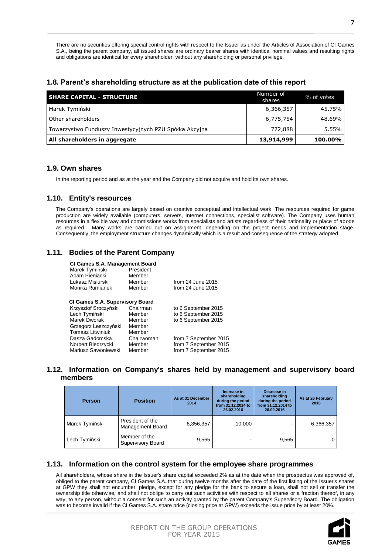There are no securities offering special control rights with respect to the Issuer as under the Articles of Association of CI Games S.A., being the parent company, all issued shares are ordinary bearer shares with identical nominal values and resulting rights and obligations are identical for every shareholder, without any shareholding or personal privilege.

# **1.8. Parent's shareholding structure as at the publication date of this report**

| <b>SHARE CAPITAL - STRUCTURE</b>                       | Number of<br>shares | % of votes |
|--------------------------------------------------------|---------------------|------------|
| Marek Tymiński                                         | 6,366,357           | 45.75%     |
| Other shareholders                                     | 6,775,754           | 48.69%     |
| Towarzystwo Funduszy Inwestycyjnych PZU Spółka Akcyjna | 772,888             | $5.55\%$   |
| All shareholders in aggregate                          | 13,914,999          | 100.00%    |

# **1.9. Own shares**

In the reporting period and as at the year end the Company did not acquire and hold its own shares.

# **1.10. Entity's resources**

The Company's operations are largely based on creative conceptual and intellectual work. The resources required for game production are widely available (computers, servers, Internet connections, specialist software). The Company uses human resources in a flexible way and commissions works from specialists and artists regardless of their nationality or place of abode as required. Many works are carried out on assignment, depending on the project needs and implementation stage. Consequently, the employment structure changes dynamically which is a result and consequence of the strategy adopted.

# **1.11. Bodies of the Parent Company**

| <b>CI Games S.A. Management Board</b><br>Marek Tymiński<br>Adam Pieniacki<br>Łukasz Misiurski<br>Monika Rumianek | President<br>Member<br>Member<br>Member | from $24$ June $2015$<br>from 24 June 2015 |
|------------------------------------------------------------------------------------------------------------------|-----------------------------------------|--------------------------------------------|
| <b>CI Games S.A. Supervisory Board</b>                                                                           |                                         |                                            |
| Krzysztof Sroczyński                                                                                             | Chairman                                | to 6 September 2015                        |
| Lech Tymiński                                                                                                    | Member                                  | to 6 September 2015                        |
| Marek Dworak                                                                                                     | Member                                  | to 6 September 2015                        |
| Grzegorz Leszczyński                                                                                             | Member                                  |                                            |
| <b>Tomasz Litwiniuk</b>                                                                                          | Member                                  |                                            |
| Dasza Gadomska                                                                                                   | Chairwoman                              | from 7 September 2015                      |
| Norbert Biedrzycki                                                                                               | Member                                  | from 7 September 2015                      |
| Mariusz Sawoniewski                                                                                              | Member                                  | from 7 September 2015                      |

# **1.12. Information on Company's shares held by management and supervisory board members**

| <b>Person</b>  | <b>Position</b>                      | As at 31 December<br>2014 | Increase in<br>shareholding<br>during the period<br>from 31.12.2014 to<br>26.02.2016 | Decrease in<br>shareholding<br>during the period<br>from 31.12.2014 to<br>26.02.2016 | As at 26 February<br>2016 |
|----------------|--------------------------------------|---------------------------|--------------------------------------------------------------------------------------|--------------------------------------------------------------------------------------|---------------------------|
| Marek Tymiński | President of the<br>Management Board | 6,356,357                 | 10,000                                                                               |                                                                                      | 6,366,357                 |
| Lech Tymiński  | Member of the<br>Supervisory Board   | 9,565                     |                                                                                      | 9,565                                                                                | $\Omega$                  |

# **1.13. Information on the control system for the employee share programmes**

All shareholders, whose share in the Issuer's share capital exceeded 2% as at the date when the prospectus was approved of, obliged to the parent company, CI Games S.A. that during twelve months after the date of the first listing of the Issuer's shares at GPW they shall not encumber, pledge, except for any pledge for the bank to secure a loan, shall not sell or transfer the ownership title otherwise, and shall not oblige to carry out such activities with respect to all shares or a fraction thereof, in any way, to any person, without a consent for such an activity granted by the parent Company's Supervisory Board. The obligation was to become invalid if the CI Games S.A. share price (closing price at GPW) exceeds the issue price by at least 20%.



| REPORT ON THE GROUP OPERATIONS |
|--------------------------------|
| FOR YEAR 2015                  |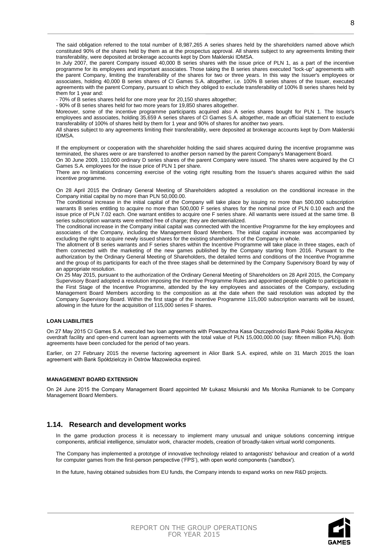programme for its employees and important associates. Those taking the B series shares executed "lock-up" agreements with the parent Company, limiting the transferability of the shares for two or three years. In this way the Issuer's employees or associates, holding 40,000 B series shares of CI Games S.A. altogether, i.e. 100% B series shares of the Issuer, executed agreements with the parent Company, pursuant to which they obliged to exclude transferability of 100% B series shares held by them for 1 year and:

- 70% of B series shares held for one more year for 20,150 shares altogether;

- 90% of B series shares held for two more years for 19,850 shares altogether.

Moreover, some of the incentive programme participants acquired also A series shares bought for PLN 1. The Issuer's employees and associates, holding 35,659 A series shares of CI Games S.A. altogether, made an official statement to exclude transferability of 100% of shares held by them for 1 year and 90% of shares for another two years.

All shares subject to any agreements limiting their transferability, were deposited at brokerage accounts kept by Dom Maklerski IDMSA.

If the employment or cooperation with the shareholder holding the said shares acquired during the incentive programme was terminated, the shares were or are transferred to another person named by the parent Company's Management Board.

On 30 June 2009, 110,000 ordinary D series shares of the parent Company were issued. The shares were acquired by the CI Games S.A. employees for the issue price of PLN 1 per share.

There are no limitations concerning exercise of the voting right resulting from the Issuer's shares acquired within the said incentive programme.

On 28 April 2015 the Ordinary General Meeting of Shareholders adopted a resolution on the conditional increase in the Company initial capital by no more than PLN 50,000.00.

The conditional increase in the initial capital of the Company will take place by issuing no more than 500,000 subscription warrants B series entitling to acquire no more than 500,000 F series shares for the nominal price of PLN 0.10 each and the issue price of PLN 7.02 each. One warrant entitles to acquire one F series share. All warrants were issued at the same time. B series subscription warrants were emitted free of charge; they are dematerialized.

The conditional increase in the Company initial capital was connected with the Incentive Programme for the key employees and associates of the Company, including the Management Board Members. The initial capital increase was accompanied by excluding the right to acquire newly issued shares for the existing shareholders of the Company in whole.

The allotment of B series warrants and F series shares within the Incentive Programme will take place in three stages, each of them connected with the marketing of the new games published by the Company starting from 2016. Pursuant to the authorization by the Ordinary General Meeting of Shareholders, the detailed terms and conditions of the Incentive Programme and the group of its participants for each of the three stages shall be determined by the Company Supervisory Board by way of an appropriate resolution.

On 25 May 2015, pursuant to the authorization of the Ordinary General Meeting of Shareholders on 28 April 2015, the Company Supervisory Board adopted a resolution imposing the Incentive Programme Rules and appointed people eligible to participate in the First Stage of the Incentive Programme, attended by the key employees and associates of the Company, excluding Management Board Members according to the composition as at the date when the said resolution was adopted by the Company Supervisory Board. Within the first stage of the Incentive Programme 115,000 subscription warrants will be issued, allowing in the future for the acquisition of 115,000 series F shares.

### **LOAN LIABILITIES**

On 27 May 2015 CI Games S.A. executed two loan agreements with Powszechna Kasa Oszczędności Bank Polski Spółka Akcyjna: overdraft facility and open-end current loan agreements with the total value of PLN 15,000,000.00 (say: fifteen million PLN). Both agreements have been concluded for the period of two years.

Earlier, on 27 February 2015 the reverse factoring agreement in Alior Bank S.A. expired, while on 31 March 2015 the loan agreement with Bank Spółdzielczy in Ostrów Mazowiecka expired.

### **MANAGEMENT BOARD EXTENSION**

On 24 June 2015 the Company Management Board appointed Mr Łukasz Misiurski and Ms Monika Rumianek to be Company Management Board Members.

### **1.14. Research and development works**

In the game production process it is necessary to implement many unusual and unique solutions concerning intrigue components, artificial intelligence, simulator work, character models, creation of broadly-taken virtual world components.

The Company has implemented a prototype of innovative technology related to antagonists' behaviour and creation of a world for computer games from the first-person perspective ('FPS'), with open world components ('sandbox').

In the future, having obtained subsidies from EU funds, the Company intends to expand works on new R&D projects.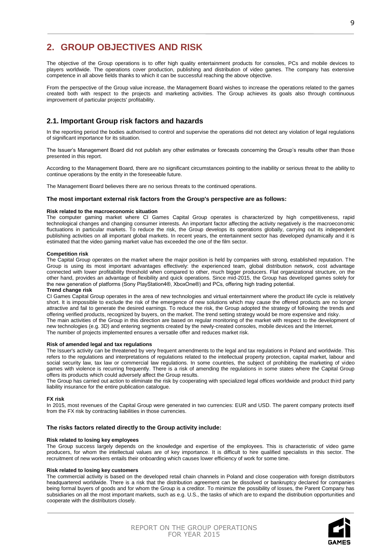# **2. GROUP OBJECTIVES AND RISK**

The objective of the Group operations is to offer high quality entertainment products for consoles, PCs and mobile devices to players worldwide. The operations cover production, publishing and distribution of video games. The company has extensive competence in all above fields thanks to which it can be successful reaching the above objective.

From the perspective of the Group value increase, the Management Board wishes to increase the operations related to the games created both with respect to the projects and marketing activities. The Group achieves its goals also through continuous improvement of particular projects' profitability.

# **2.1. Important Group risk factors and hazards**

In the reporting period the bodies authorised to control and supervise the operations did not detect any violation of legal regulations of significant importance for its situation.

The Issuer's Management Board did not publish any other estimates or forecasts concerning the Group's results other than those presented in this report.

According to the Management Board, there are no significant circumstances pointing to the inability or serious threat to the ability to continue operations by the entity in the foreseeable future.

The Management Board believes there are no serious threats to the continued operations.

### **The most important external risk factors from the Group's perspective are as follows:**

### **Risk related to the macroeconomic situation**

The computer gaming market where CI Games Capital Group operates is characterized by high competitiveness, rapid technological changes and changing consumer interests. An important factor affecting the activity negatively is the macroeconomic fluctuations in particular markets. To reduce the risk, the Group develops its operations globally, carrying out its independent publishing activities on all important global markets. In recent years, the entertainment sector has developed dynamically and it is estimated that the video gaming market value has exceeded the one of the film sector.

### **Competition risk**

The Capital Group operates on the market where the major position is held by companies with strong, established reputation. The Group is using its most important advantages effectively: the experienced team, global distribution network, cost advantage connected with lower profitability threshold when compared to other, much bigger producers. Flat organizational structure, on the other hand, provides an advantage of flexibility and quick operations. Since mid-2015, the Group has developed games solely for the new generation of platforms (Sony PlayStation4®, XboxOne®) and PCs, offering high trading potential.

### **Trend change risk**

CI Games Capital Group operates in the area of new technologies and virtual entertainment where the product life cycle is relatively short. It is impossible to exclude the risk of the emergence of new solutions which may cause the offered products are no longer attractive and fail to generate the desired earnings. To reduce the risk, the Group adopted the strategy of following the trends and offering verified products, recognized by buyers, on the market. The trend setting strategy would be more expensive and risky.

The main activities of the Group in this direction are based on regular monitoring of the market with respect to the development of new technologies (e.g. 3D) and entering segments created by the newly-created consoles, mobile devices and the Internet. The number of projects implemented ensures a versatile offer and reduces market risk.

#### **Risk of amended legal and tax regulations**

The Issuer's activity can be threatened by very frequent amendments to the legal and tax regulations in Poland and worldwide. This refers to the regulations and interpretations of regulations related to the intellectual property protection, capital market, labour and social security law, tax law or commercial law regulations. In some countries, the subject of prohibiting the marketing of video games with violence is recurring frequently. There is a risk of amending the regulations in some states where the Capital Group offers its products which could adversely affect the Group results.

The Group has carried out action to eliminate the risk by cooperating with specialized legal offices worldwide and product third party liability insurance for the entire publication catalogue.

### **FX risk**

In 2015, most revenues of the Capital Group were generated in two currencies: EUR and USD. The parent company protects itself from the FX risk by contracting liabilities in those currencies.

### **The risks factors related directly to the Group activity include:**

#### **Risk related to losing key employees**

The Group success largely depends on the knowledge and expertise of the employees. This is characteristic of video game producers, for whom the intellectual values are of key importance. It is difficult to hire qualified specialists in this sector. The recruitment of new workers entails their onboarding which causes lower efficiency of work for some time.

#### **Risk related to losing key customers**

The commercial activity is based on the developed retail chain channels in Poland and close cooperation with foreign distributors headquartered worldwide. There is a risk that the distribution agreement can be dissolved or bankruptcy declared for companies being formal buyers of goods and for whom the Group is a creditor. To minimize the possibility of losses, the Parent Company has subsidiaries on all the most important markets, such as e.g. U.S., the tasks of which are to expand the distribution opportunities and cooperate with the distributors closely.

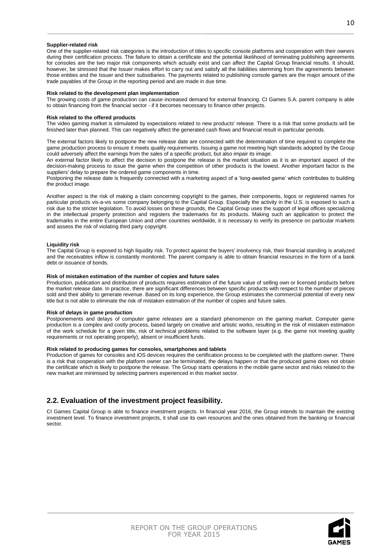### **Supplier-related risk**

One of the supplier-related risk categories is the introduction of titles to specific console platforms and cooperation with their owners during their certification process. The failure to obtain a certificate and the potential likelihood of terminating publishing agreements for consoles are the two major risk components which actually exist and can affect the Capital Group financial results. It should, however, be stressed that the Issuer makes effort to carry out and satisfy all the liabilities stemming from the agreements between those entities and the Issuer and their subsidiaries. The payments related to publishing console games are the major amount of the trade payables of the Group in the reporting period and are made in due time.

#### **Risk related to the development plan implementation**

The growing costs of game production can cause increased demand for external financing. CI Games S.A. parent company is able to obtain financing from the financial sector - if it becomes necessary to finance other projects.

#### **Risk related to the offered products**

The video gaming market is stimulated by expectations related to new products' release. There is a risk that some products will be finished later than planned. This can negatively affect the generated cash flows and financial result in particular periods.

The external factors likely to postpone the new release date are connected with the determination of time required to complete the game production process to ensure it meets quality requirements. Issuing a game not meeting high standards adopted by the Group could adversely affect the earnings from the sales of a specific product, but also impair its image.

An external factor likely to affect the decision to postpone the release is the market situation as it is an important aspect of the decision-making process to issue the game when the competition of other products is the lowest. Another important factor is the suppliers' delay to prepare the ordered game components in time.

Postponing the release date is frequently connected with a marketing aspect of a 'long-awaited game' which contributes to building the product image.

Another aspect is the risk of making a claim concerning copyright to the games, their components, logos or registered names for particular products vis-a-vis some company belonging to the Capital Group. Especially the activity in the U.S. is exposed to such a risk due to the stricter legislation. To avoid losses on these grounds, the Capital Group uses the support of legal offices specializing in the intellectual property protection and registers the trademarks for its products. Making such an application to protect the trademarks in the entire European Union and other countries worldwide, it is necessary to verify its presence on particular markets and assess the risk of violating third party copyright.

#### **Liquidity risk**

The Capital Group is exposed to high liquidity risk. To protect against the buyers' insolvency risk, their financial standing is analyzed and the receivables inflow is constantly monitored. The parent company is able to obtain financial resources in the form of a bank debt or issuance of bonds.

### **Risk of mistaken estimation of the number of copies and future sales**

Production, publication and distribution of products requires estimation of the future value of selling own or licensed products before the market release date. In practice, there are significant differences between specific products with respect to the number of pieces sold and their ability to generate revenue. Based on its long experience, the Group estimates the commercial potential of every new title but is not able to eliminate the risk of mistaken estimation of the number of copies and future sales.

### **Risk of delays in game production**

Postponements and delays of computer game releases are a standard phenomenon on the gaming market. Computer game production is a complex and costly process, based largely on creative and artistic works, resulting in the risk of mistaken estimation of the work schedule for a given title, risk of technical problems related to the software layer (e.g. the game not meeting quality requirements or not operating properly), absent or insufficient funds.

### **Risk related to producing games for consoles, smartphones and tablets**

Production of games for consoles and iOS devices requires the certification process to be completed with the platform owner. There is a risk that cooperation with the platform owner can be terminated, the delays happen or that the produced game does not obtain the certificate which is likely to postpone the release. The Group starts operations in the mobile game sector and risks related to the new market are minimised by selecting partners experienced in this market sector.

# **2.2. Evaluation of the investment project feasibility.**

CI Games Capital Group is able to finance investment projects. In financial year 2016, the Group intends to maintain the existing investment level. To finance investment projects, it shall use its own resources and the ones obtained from the banking or financial sector.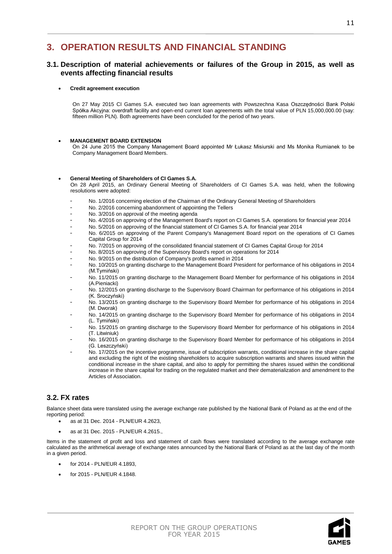# **3. OPERATION RESULTS AND FINANCIAL STANDING**

# **3.1. Description of material achievements or failures of the Group in 2015, as well as events affecting financial results**

### **Credit agreement execution**

On 27 May 2015 CI Games S.A. executed two loan agreements with Powszechna Kasa Oszczędności Bank Polski Spółka Akcyjna: overdraft facility and open-end current loan agreements with the total value of PLN 15,000,000.00 (say: fifteen million PLN). Both agreements have been concluded for the period of two years.

### **MANAGEMENT BOARD EXTENSION**

On 24 June 2015 the Company Management Board appointed Mr Łukasz Misiurski and Ms Monika Rumianek to be Company Management Board Members.

### **General Meeting of Shareholders of CI Games S.A.**

On 28 April 2015, an Ordinary General Meeting of Shareholders of CI Games S.A. was held, when the following resolutions were adopted:

- No. 1/2016 concerning election of the Chairman of the Ordinary General Meeting of Shareholders
- No. 2/2016 concerning abandonment of appointing the Tellers
- No. 3/2016 on approval of the meeting agenda
- No. 4/2016 on approving of the Management Board's report on CI Games S.A. operations for financial year 2014
- No. 5/2016 on approving of the financial statement of CI Games S.A. for financial year 2014
- No. 6/2015 on approving of the Parent Company's Management Board report on the operations of CI Games Capital Group for 2014
- No. 7/2015 on approving of the consolidated financial statement of CI Games Capital Group for 2014
- No. 8/2015 on approving of the Supervisory Board's report on operations for 2014
- No. 9/2015 on the distribution of Company's profits earned in 2014
- No. 10/2015 on granting discharge to the Management Board President for performance of his obligations in 2014 (M.Tymiński)
- No. 11/2015 on granting discharge to the Management Board Member for performance of his obligations in 2014 (A.Pieniacki)
- No. 12/2015 on granting discharge to the Supervisory Board Chairman for performance of his obligations in 2014 (K. Sroczyński)
- No. 13/2015 on granting discharge to the Supervisory Board Member for performance of his obligations in 2014 (M. Dworak)
- No. 14/2015 on granting discharge to the Supervisory Board Member for performance of his obligations in 2014 (L. Tymiński)
- No. 15/2015 on granting discharge to the Supervisory Board Member for performance of his obligations in 2014 (T. Litwiniuk)
- No. 16/2015 on granting discharge to the Supervisory Board Member for performance of his obligations in 2014 (G. Leszczyński)
- No. 17/2015 on the incentive programme, issue of subscription warrants, conditional increase in the share capital and excluding the right of the existing shareholders to acquire subscription warrants and shares issued within the conditional increase in the share capital, and also to apply for permitting the shares issued within the conditional increase in the share capital for trading on the regulated market and their dematerialization and amendment to the Articles of Association.

# **3.2. FX rates**

Balance sheet data were translated using the average exchange rate published by the National Bank of Poland as at the end of the reporting period:

- as at 31 Dec. 2014 PLN/EUR 4.2623,
- as at 31 Dec. 2015 PLN/EUR 4.2615.,

Items in the statement of profit and loss and statement of cash flows were translated according to the average exchange rate calculated as the arithmetical average of exchange rates announced by the National Bank of Poland as at the last day of the month in a given period.

- for 2014 PLN/EUR 4.1893,
- for 2015 PLN/EUR 4.1848.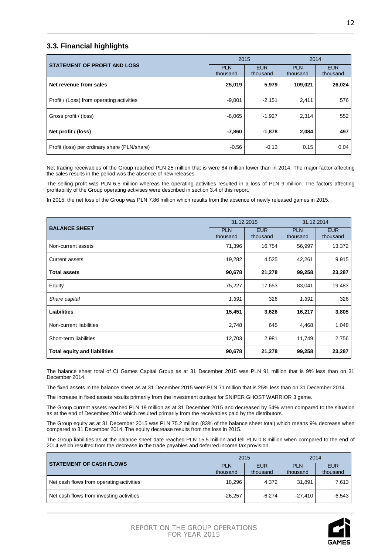# **3.3. Financial highlights**

|                                              | 2015                   |                        | 2014                   |                        |
|----------------------------------------------|------------------------|------------------------|------------------------|------------------------|
| <b>STATEMENT OF PROFIT AND LOSS</b>          | <b>PLN</b><br>thousand | <b>EUR</b><br>thousand | <b>PLN</b><br>thousand | <b>EUR</b><br>thousand |
|                                              |                        |                        |                        |                        |
| Net revenue from sales                       | 25,019                 | 5,979                  | 109,021                | 26,024                 |
| Profit / (Loss) from operating activities    | $-9,001$               | $-2,151$               | 2,411                  | 576                    |
| Gross profit / (loss)                        | $-8,065$               | $-1,927$               | 2.314                  | 552                    |
| Net profit / (loss)                          | $-7,860$               | $-1,878$               | 2,084                  | 497                    |
| Profit (loss) per ordinary share (PLN/share) | $-0.56$                | $-0.13$                | 0.15                   | 0.04                   |

Net trading receivables of the Group reached PLN 25 million that is were 84 million lower than in 2014. The major factor affecting the sales results in the period was the absence of new releases.

The selling profit was PLN 6.5 million whereas the operating activities resulted in a loss of PLN 9 million. The factors affecting profitability of the Group operating activities were described in section 3.4 of this report.

In 2015, the net loss of the Group was PLN 7.86 million which results from the absence of newly released games in 2015.

|                                     | 31.12.2015             |                        | 31.12.2014             |                        |
|-------------------------------------|------------------------|------------------------|------------------------|------------------------|
| <b>BALANCE SHEET</b>                | <b>PLN</b><br>thousand | <b>EUR</b><br>thousand | <b>PLN</b><br>thousand | <b>EUR</b><br>thousand |
| Non-current assets                  | 71,396                 | 16,754                 | 56,997                 | 13,372                 |
| <b>Current assets</b>               | 19,282                 | 4,525                  | 42,261                 | 9,915                  |
| <b>Total assets</b>                 | 90,678                 | 21,278                 | 99,258                 | 23,287                 |
| Equity                              | 75,227                 | 17,653                 | 83,041                 | 19,483                 |
| Share capital                       | 1,391                  | 326                    | 1,391                  | 326                    |
| <b>Liabilities</b>                  | 15,451                 | 3,626                  | 16,217                 | 3,805                  |
| Non-current liabilities             | 2,748                  | 645                    | 4,468                  | 1,048                  |
| Short-term liabilities              | 12,703                 | 2,981                  | 11,749                 | 2,756                  |
| <b>Total equity and liabilities</b> | 90,678                 | 21,278                 | 99,258                 | 23,287                 |

The balance sheet total of CI Games Capital Group as at 31 December 2015 was PLN 91 million that is 9% less than on 31 December 2014.

The fixed assets in the balance sheet as at 31 December 2015 were PLN 71 million that is 25% less than on 31 December 2014.

The increase in fixed assets results primarily from the investment outlays for SNIPER GHOST WARRIOR 3 game.

The Group current assets reached PLN 19 million as at 31 December 2015 and decreased by 54% when compared to the situation as at the end of December 2014 which resulted primarily from the receivables paid by the distributors.

The Group equity as at 31 December 2015 was PLN 75.2 million (83% of the balance sheet total) which means 9% decrease when compared to 31 December 2014. The equity decrease results from the loss in 2015.

The Group liabilities as at the balance sheet date reached PLN 15.5 million and fell PLN 0.8 million when compared to the end of 2014 which resulted from the decrease in the trade payables and deferred income tax provision.

|                                          | 2015                   |                        | 2014                   |                        |
|------------------------------------------|------------------------|------------------------|------------------------|------------------------|
| <b>STATEMENT OF CASH FLOWS</b>           | <b>PLN</b><br>thousand | <b>EUR</b><br>thousand | <b>PLN</b><br>thousand | <b>EUR</b><br>thousand |
| Net cash flows from operating activities | 18,296                 | 4.372                  | 31,891                 | 7,613                  |
| Net cash flows from investing activities | $-26,257$              | -6.274                 | $-27.410$              | $-6,543$               |

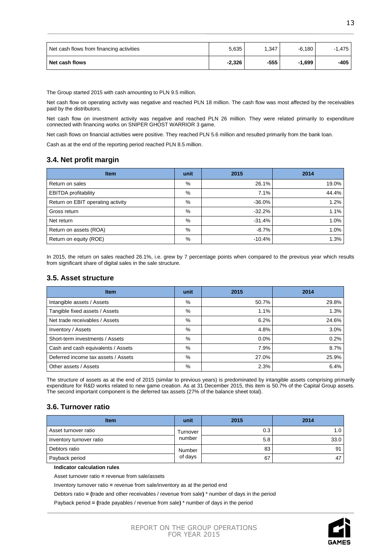| Net cash flows from financing activities | 5,635    | 1,347  | $-6,180$ | $-1.475$ |
|------------------------------------------|----------|--------|----------|----------|
| Net cash flows                           | $-2,326$ | $-555$ | $-1.699$ | -405     |

The Group started 2015 with cash amounting to PLN 9.5 million.

Net cash flow on operating activity was negative and reached PLN 18 million. The cash flow was most affected by the receivables paid by the distributors.

Net cash flow on investment activity was negative and reached PLN 26 million. They were related primarily to expenditure connected with financing works on SNIPER GHOST WARRIOR 3 game.

Net cash flows on financial activities were positive. They reached PLN 5.6 million and resulted primarily from the bank loan.

Cash as at the end of the reporting period reached PLN 8.5 million.

# **3.4. Net profit margin**

| <b>Item</b>                       | unit | 2015     | 2014  |
|-----------------------------------|------|----------|-------|
| Return on sales                   | $\%$ | 26.1%    | 19.0% |
| <b>EBITDA</b> profitability       | %    | 7.1%     | 44.4% |
| Return on EBIT operating activity | %    | $-36.0%$ | 1.2%  |
| Gross return                      | %    | $-32.2%$ | 1.1%  |
| Net return                        | %    | $-31.4%$ | 1.0%  |
| Return on assets (ROA)            | %    | $-8.7%$  | 1.0%  |
| Return on equity (ROE)            | %    | $-10.4%$ | 1.3%  |

In 2015, the return on sales reached 26.1%, i.e. grew by 7 percentage points when compared to the previous year which results from significant share of digital sales in the sale structure.

# **3.5. Asset structure**

| <b>Item</b>                         | unit | 2015    | 2014  |
|-------------------------------------|------|---------|-------|
| Intangible assets / Assets          | %    | 50.7%   | 29.8% |
| Tangible fixed assets / Assets      | %    | 1.1%    | 1.3%  |
| Net trade receivables / Assets      | %    | 6.2%    | 24.6% |
| Inventory / Assets                  | %    | 4.8%    | 3.0%  |
| Short-term investments / Assets     | %    | $0.0\%$ | 0.2%  |
| Cash and cash equivalents / Assets  | %    | 7.9%    | 8.7%  |
| Deferred income tax assets / Assets | %    | 27.0%   | 25.9% |
| Other assets / Assets               | %    | 2.3%    | 6.4%  |

The structure of assets as at the end of 2015 (similar to previous years) is predominated by intangible assets comprising primarily expenditure for R&D works related to new game creation. As at 31 December 2015, this item is 50.7% of the Capital Group assets. The second important component is the deferred tax assets (27% of the balance sheet total).

# **3.6. Turnover ratio**

| <b>Item</b>              | unit     | 2015 | 2014 |
|--------------------------|----------|------|------|
| Asset turnover ratio     | Turnover | 0.3  | 1.0  |
| Inventory turnover ratio | number   | 5.8  | 33.0 |
| Debtors ratio            | Number   | 83   | 91   |
| Payback period           | of days  | 67   | 47   |

**Indicator calculation rules**

Asset turnover ratio **=** revenue from sale/assets

Inventory turnover ratio **=** revenue from sale/inventory as at the period end

Debtors ratio **= (**trade and other receivables / revenue from sale**)** \* number of days in the period

Payback period **= (**trade payables / revenue from sale**)** \* number of days in the period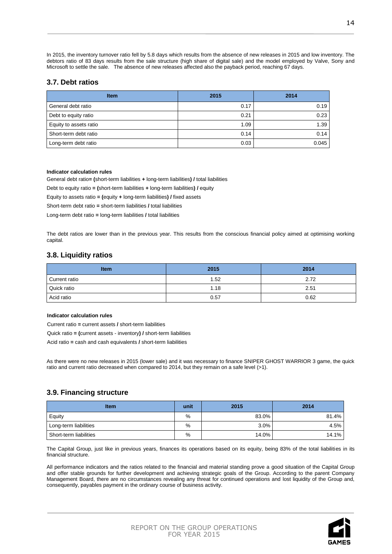In 2015, the inventory turnover ratio fell by 5.8 days which results from the absence of new releases in 2015 and low inventory. The debtors ratio of 83 days results from the sale structure (high share of digital sale) and the model employed by Valve, Sony and Microsoft to settle the sale. The absence of new releases affected also the payback period, reaching 67 days.

# **3.7. Debt ratios**

| <b>Item</b>            | 2015 | 2014  |
|------------------------|------|-------|
| General debt ratio     | 0.17 | 0.19  |
| Debt to equity ratio   | 0.21 | 0.23  |
| Equity to assets ratio | 1.09 | 1.39  |
| Short-term debt ratio  | 0.14 | 0.14  |
| Long-term debt ratio   | 0.03 | 0.045 |

### **Indicator calculation rules**

General debt ratio**= (**short-term liabilities **+** long-term liabilities**) /** total liabilities

Debt to equity ratio **= (**short-term liabilities **+** long-term liabilities**) /** equity

Equity to assets ratio **= (**equity **+** long-term liabilities**) /** fixed assets

Short-term debt ratio **=** short-term liabilities **/** total liabilities

Long-term debt ratio **=** long-term liabilities **/** total liabilities

The debt ratios are lower than in the previous year. This results from the conscious financial policy aimed at optimising working capital.

# **3.8. Liquidity ratios**

| <b>Item</b>   | 2015 | 2014 |
|---------------|------|------|
| Current ratio | 1.52 | 2.72 |
| Quick ratio   | 1.18 | 2.51 |
| Acid ratio    | 0.57 | 0.62 |

### **Indicator calculation rules**

Current ratio **=** current assets **/** short-term liabilities

Quick ratio **= (**current assets - inventory**) /** short-term liabilities

Acid ratio **=** cash and cash equivalents **/** short-term liabilities

As there were no new releases in 2015 (lower sale) and it was necessary to finance SNIPER GHOST WARRIOR 3 game, the quick ratio and current ratio decreased when compared to 2014, but they remain on a safe level (>1).

# **3.9. Financing structure**

| <b>Item</b>            | unit | 2015  | 2014  |
|------------------------|------|-------|-------|
| Equity                 | %    | 83.0% | 81.4% |
| Long-term liabilities  | %    | 3.0%  | 4.5%  |
| Short-term liabilities | %    | 14.0% | 14.1% |

The Capital Group, just like in previous years, finances its operations based on its equity, being 83% of the total liabilities in its financial structure.

All performance indicators and the ratios related to the financial and material standing prove a good situation of the Capital Group and offer stable grounds for further development and achieving strategic goals of the Group. According to the parent Company Management Board, there are no circumstances revealing any threat for continued operations and lost liquidity of the Group and, consequently, payables payment in the ordinary course of business activity.

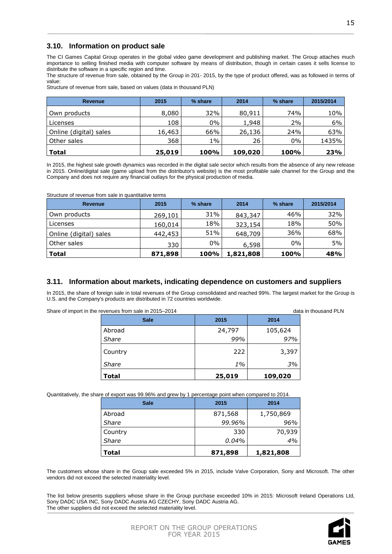# **3.10. Information on product sale**

The CI Games Capital Group operates in the global video game development and publishing market. The Group attaches much importance to selling finished media with computer software by means of distribution, though in certain cases it sells license to distribute the software in a specific region and time.

The structure of revenue from sale, obtained by the Group in 201- 2015, by the type of product offered, was as followed in terms of value:

Structure of revenue from sale, based on values (data in thousand PLN)

| Revenue                | 2015   | % share | 2014    | % share | 2015/2014 |
|------------------------|--------|---------|---------|---------|-----------|
| Own products           | 8,080  | 32%     | 80,911  | 74%     | 10%       |
| Licenses               | 108    | $0\%$   | 1,948   | 2%      | 6%        |
| Online (digital) sales | 16,463 | 66%     | 26,136  | 24%     | 63%       |
| Other sales            | 368    | $1\%$   | 26      | $0\%$   | 1435%     |
| <b>Total</b>           | 25,019 | 100%    | 109,020 | 100%    | 23%       |

In 2015, the highest sale growth dynamics was recorded in the digital sale sector which results from the absence of any new release in 2015. Online/digital sale (game upload from the distributor's website) is the most profitable sale channel for the Group and the Company and does not require any financial outlays for the physical production of media.

| Structure of revenue from sale in quantitative terms |  |  |  |
|------------------------------------------------------|--|--|--|
|------------------------------------------------------|--|--|--|

| Revenue                | 2015    | % share | 2014      | % share     | 2015/2014 |
|------------------------|---------|---------|-----------|-------------|-----------|
| Own products           | 269,101 | 31%     | 843,347   | 46%         | 32%       |
| Licenses               | 160,014 | 18%     | 323,154   | 18%         | 50%       |
| Online (digital) sales | 442,453 | 51%     | 648,709   | 36%         | 68%       |
| Other sales            | 330     | $0\%$   | 6,598     | $0\%$       | 5%        |
| <b>Total</b>           | 871,898 | 100%    | 1,821,808 | <b>100%</b> | 48%       |

# **3.11. Information about markets, indicating dependence on customers and suppliers**

In 2015, the share of foreign sale in total revenues of the Group consolidated and reached 99%. The largest market for the Group is U.S. and the Company's products are distributed in 72 countries worldwide.

Share of import in the revenues from sale in 2015–2014 data in thousand PLN

| -----        |        |         |  |
|--------------|--------|---------|--|
| <b>Sale</b>  | 2015   | 2014    |  |
| Abroad       | 24,797 | 105,624 |  |
| Share        | 99%    | 97%     |  |
| Country      | 222    | 3,397   |  |
| Share        | $1\%$  | 3%      |  |
| <b>Total</b> | 25,019 | 109,020 |  |

Quantitatively, the share of export was 99.96% and grew by 1 percentage point when compared to 2014.

| <b>Sale</b> | 2015    | 2014      |
|-------------|---------|-----------|
| Abroad      | 871,568 | 1,750,869 |
| Share       | 99.96%  | 96%       |
| Country     | 330     | 70,939    |
| Share       | 0.04%   | 4%        |
| Total       | 871,898 | 1,821,808 |

The customers whose share in the Group sale exceeded 5% in 2015, include Valve Corporation, Sony and Microsoft. The other vendors did not exceed the selected materiality level.

The list below presents suppliers whose share in the Group purchase exceeded 10% in 2015: Microsoft Ireland Operations Ltd, Sony DADC USA INC, Sony DADC Austria AG CZECHY, Sony DADC Austria AG. The other suppliers did not exceed the selected materiality level.

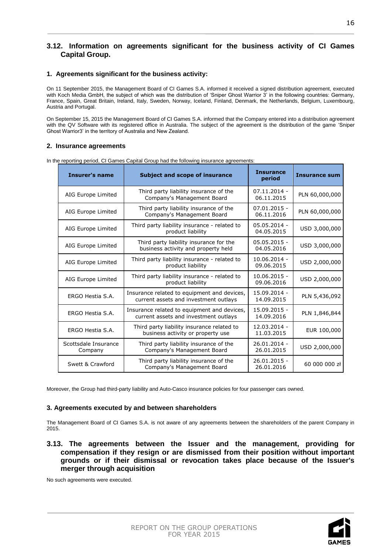# **3.12. Information on agreements significant for the business activity of CI Games Capital Group.**

### **1. Agreements significant for the business activity:**

On 11 September 2015, the Management Board of CI Games S.A. informed it received a signed distribution agreement, executed with Koch Media GmbH, the subject of which was the distribution of 'Sniper Ghost Warrior 3' in the following countries: Germany, France, Spain, Great Britain, Ireland, Italy, Sweden, Norway, Iceland, Finland, Denmark, the Netherlands, Belgium, Luxembourg, Austria and Portugal.

On September 15, 2015 the Management Board of CI Games S.A. informed that the Company entered into a distribution agreement with the QV Software with its registered office in Australia. The subject of the agreement is the distribution of the game 'Sniper Ghost Warrior3' in the territory of Australia and New Zealand.

# **2. Insurance agreements**

| <b>Insurer's name</b>           | <b>Subject and scope of insurance</b>                                                | <b>Insurance</b><br>period   | <b>Insurance sum</b> |
|---------------------------------|--------------------------------------------------------------------------------------|------------------------------|----------------------|
| AIG Europe Limited              | Third party liability insurance of the<br>Company's Management Board                 | $07.11.2014 -$<br>06.11.2015 | PLN 60,000,000       |
| AIG Europe Limited              | Third party liability insurance of the<br>Company's Management Board                 | $07.01.2015 -$<br>06.11.2016 | PLN 60,000,000       |
| AIG Europe Limited              | Third party liability insurance - related to<br>product liability                    | 05.05.2014 -<br>04.05.2015   | USD 3,000,000        |
| AIG Europe Limited              | Third party liability insurance for the<br>business activity and property held       | $05.05.2015 -$<br>04.05.2016 | USD 3,000,000        |
| AIG Europe Limited              | Third party liability insurance - related to<br>product liability                    | 10.06.2014 -<br>09.06.2015   | USD 2,000,000        |
| AIG Europe Limited              | Third party liability insurance - related to<br>product liability                    | $10.06.2015 -$<br>09.06.2016 | USD 2.000.000        |
| ERGO Hestia S.A.                | Insurance related to equipment and devices,<br>current assets and investment outlays | 15.09.2014 -<br>14.09.2015   | PLN 5,436,092        |
| ERGO Hestia S.A.                | Insurance related to equipment and devices,<br>current assets and investment outlays | 15.09.2015 -<br>14.09.2016   | PLN 1,846,844        |
| ERGO Hestia S.A.                | Third party liability insurance related to<br>business activity or property use      | 12.03.2014 -<br>11.03.2015   | EUR 100,000          |
| Scottsdale Insurance<br>Company | Third party liability insurance of the<br>Company's Management Board                 | 26.01.2014 -<br>26.01.2015   | USD 2,000,000        |
| Swett & Crawford                | Third party liability insurance of the<br>Company's Management Board                 | 26.01.2015 -<br>26.01.2016   | 60 000 000 zł        |

In the reporting period, CI Games Capital Group had the following insurance agreements:

Moreover, the Group had third-party liability and Auto-Casco insurance policies for four passenger cars owned.

### **3. Agreements executed by and between shareholders**

The Management Board of CI Games S.A. is not aware of any agreements between the shareholders of the parent Company in 2015.

**3.13. The agreements between the Issuer and the management, providing for compensation if they resign or are dismissed from their position without important grounds or if their dismissal or revocation takes place because of the Issuer's merger through acquisition**

No such agreements were executed.

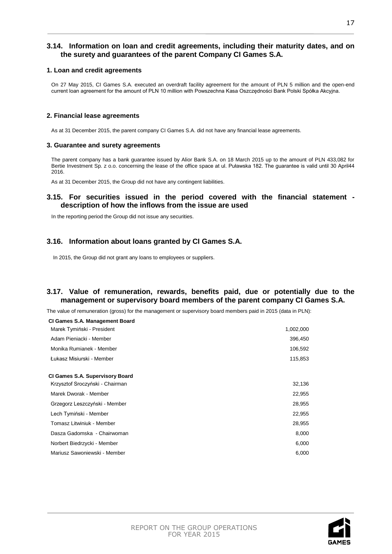# **3.14. Information on loan and credit agreements, including their maturity dates, and on the surety and guarantees of the parent Company CI Games S.A.**

### **1. Loan and credit agreements**

On 27 May 2015, CI Games S.A. executed an overdraft facility agreement for the amount of PLN 5 million and the open-end current loan agreement for the amount of PLN 10 million with Powszechna Kasa Oszczędności Bank Polski Spółka Akcyjna.

### **2. Financial lease agreements**

As at 31 December 2015, the parent company CI Games S.A. did not have any financial lease agreements.

### **3. Guarantee and surety agreements**

The parent company has a bank guarantee issued by Alior Bank S.A. on 18 March 2015 up to the amount of PLN 433,082 for Bertie Investment Sp. z o.o. concerning the lease of the office space at ul. Puławska 182. The guarantee is valid until 30 April44 2016.

As at 31 December 2015, the Group did not have any contingent liabilities.

# **3.15. For securities issued in the period covered with the financial statement description of how the inflows from the issue are used**

In the reporting period the Group did not issue any securities.

# **3.16. Information about loans granted by CI Games S.A.**

In 2015, the Group did not grant any loans to employees or suppliers.

# **3.17. Value of remuneration, rewards, benefits paid, due or potentially due to the management or supervisory board members of the parent company CI Games S.A.**

The value of remuneration (gross) for the management or supervisory board members paid in 2015 (data in PLN):

| CI Games S.A. Management Board                                            |           |
|---------------------------------------------------------------------------|-----------|
| Marek Tymiński - President                                                | 1,002,000 |
| Adam Pieniacki - Member                                                   | 396,450   |
| Monika Rumianek - Member                                                  | 106,592   |
| Łukasz Misiurski - Member                                                 | 115,853   |
| <b>CI Games S.A. Supervisory Board</b><br>Krzysztof Sroczyński - Chairman | 32,136    |
| Marek Dworak - Member                                                     | 22,955    |
| Grzegorz Leszczyński - Member                                             | 28,955    |
| Lech Tymiński - Member                                                    | 22,955    |
| Tomasz Litwiniuk - Member                                                 | 28,955    |
| Dasza Gadomska - Chairwoman                                               | 8,000     |
| Norbert Biedrzycki - Member                                               | 6,000     |
| Mariusz Sawoniewski - Member                                              | 6,000     |
|                                                                           |           |

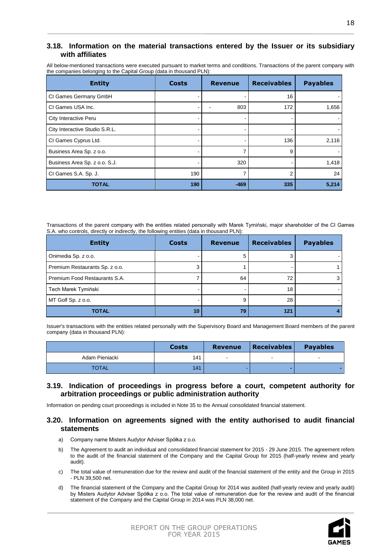# **3.18. Information on the material transactions entered by the Issuer or its subsidiary with affiliates**

All below-mentioned transactions were executed pursuant to market terms and conditions. Transactions of the parent company with the companies belonging to the Capital Group (data in thousand PLN):

| <b>Entity</b>                  | <b>Costs</b> | <b>Revenue</b> | <b>Receivables</b> | <b>Payables</b> |
|--------------------------------|--------------|----------------|--------------------|-----------------|
| CI Games Germany GmbH          |              |                | 16                 |                 |
| CI Games USA Inc.              |              | 803            | 172                | 1,656           |
| City Interactive Peru          |              |                |                    |                 |
| City Interactive Studio S.R.L. |              |                |                    |                 |
| CI Games Cyprus Ltd.           |              |                | 136                | 2,116           |
| Business Area Sp. z o.o.       |              |                | 9                  |                 |
| Business Area Sp. z o.o. S.J.  |              | 320            |                    | 1,418           |
| CI Games S.A. Sp. J.           | 190          | 7              | 2                  | 24              |
| <b>TOTAL</b>                   | 190          | $-469$         | 335                | 5,214           |

Transactions of the parent company with the entities related personally with Marek Tymiński, major shareholder of the CI Games S.A. who controls, directly or indirectly, the following entities (data in thousand PLN):

| <b>Entity</b>                  | <b>Costs</b>    | <b>Revenue</b> | <b>Receivables</b> | <b>Payables</b> |
|--------------------------------|-----------------|----------------|--------------------|-----------------|
| Onimedia Sp. z o.o.            |                 | 5              |                    |                 |
| Premium Restaurants Sp. z o.o. |                 |                |                    |                 |
| Premium Food Restaurants S.A.  |                 | 64             | 72                 |                 |
| Tech Marek Tymiński            |                 |                | 18                 |                 |
| MT Golf Sp. z o.o.             |                 | 9              | 28                 |                 |
| <b>TOTAL</b>                   | 10 <sub>1</sub> | 79             | 121                |                 |

Issuer's transactions with the entities related personally with the Supervisory Board and Management Board members of the parent company (data in thousand PLN):

|                | Costs | <b>Revenue</b> | <b>Receivables</b> | <b>Payables</b> |
|----------------|-------|----------------|--------------------|-----------------|
| Adam Pieniacki | 141   | $\sim$         | -                  |                 |
| <b>TOTAL</b>   | 141   |                |                    |                 |

# **3.19. Indication of proceedings in progress before a court, competent authority for arbitration proceedings or public administration authority**

Information on pending court proceedings is included in Note 35 to the Annual consolidated financial statement.

# **3.20. Information on agreements signed with the entity authorised to audit financial statements**

- a) Company name Misters Audytor Adviser Spółka z o.o.
- b) The Agreement to audit an individual and consolidated financial statement for 2015 29 June 2015. The agreement refers to the audit of the financial statement of the Company and the Capital Group for 2015 (half-yearly review and yearly audit).
- c) The total value of remuneration due for the review and audit of the financial statement of the entity and the Group in 2015 - PLN 39,500 net.
- d) The financial statement of the Company and the Capital Group for 2014 was audited (half-yearly review and yearly audit) by Misters Audytor Adviser Spółka z o.o. The total value of remuneration due for the review and audit of the financial statement of the Company and the Capital Group in 2014 was PLN 38,000 net.